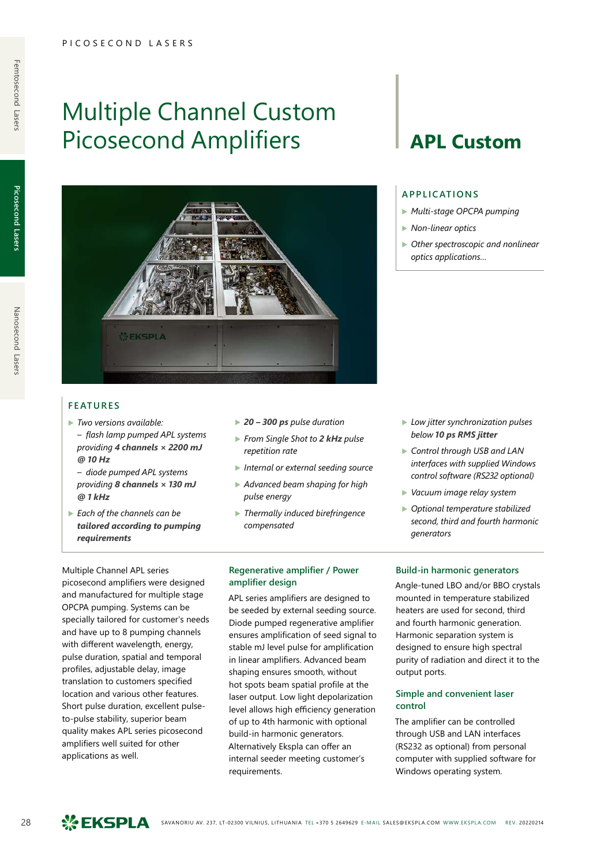Multiple Channel Custom

## **FEATURES**

▶ *Two versions available: – flash lamp pumped APL systems providing 4 channels × 2200 mJ @ 10 Hz*

**SEKSPLA** 

- *diode pumped APL systems providing 8 channels × 130 mJ @ 1 kHz*
- ▶ *Each of the channels can be tailored according to pumping requirements*

picosecond amplifiers were designed and manufactured for multiple stage OPCPA pumping. Systems can be specially tailored for customer's needs and have up to 8 pumping channels with different wavelength, energy, pulse duration, spatial and temporal profiles, adjustable delay, image translation to customers specified location and various other features. Short pulse duration, excellent pulseto-pulse stability, superior beam quality makes APL series picosecond amplifiers well suited for other

Multiple Channel APL series

- ▶ *20 300 ps pulse duration*
- ▶ *From Single Shot to 2 kHz pulse repetition rate*
- ▶ *Internal or external seeding source*
- ▶ *Advanced beam shaping for high pulse energy*
- ▶ *Thermally induced birefringence compensated*
- **Regenerative amplifier / Power amplifier design**

APL series amplifiers are designed to be seeded by external seeding source. Diode pumped regenerative amplifier ensures amplification of seed signal to stable mJ level pulse for amplification in linear amplifiers. Advanced beam shaping ensures smooth, without hot spots beam spatial profile at the laser output. Low light depolarization level allows high efficiency generation of up to 4th harmonic with optional build-in harmonic generators. Alternatively Ekspla can offer an internal seeder meeting customer's requirements.

# Picosecond Amplifiers | **APL Custom**

### **APPLICATIONS**

- ▶ *Multi-stage OPCPA pumping*
- ▶ *Non-linear optics*
- ▶ *Other spectroscopic and nonlinear optics applications…*

- ▶ *Low jitter synchronization pulses below 10 ps RMS jitter*
- ▶ *Control through USB and LAN interfaces with supplied Windows control software (RS232 optional)*
- ▶ *Vacuum image relay system*
- ▶ *Optional temperature stabilized second, third and fourth harmonic generators*

#### **Build-in harmonic generators**

Angle-tuned LBO and/or BBO crystals mounted in temperature stabilized heaters are used for second, third and fourth harmonic generation. Harmonic separation system is designed to ensure high spectral purity of radiation and direct it to the output ports.

### **Simple and convenient laser control**

The amplifier can be controlled through USB and LAN interfaces (RS232 as optional) from personal computer with supplied software for Windows operating system.

28 SAVANORIU AV. 237, LT-02300 VILNIUS, LITHUANIA TEL +370 5 2649629 E-MAIL SALES@EKSPLA.COM WWW.EKSPLA.COM REV. 20220214

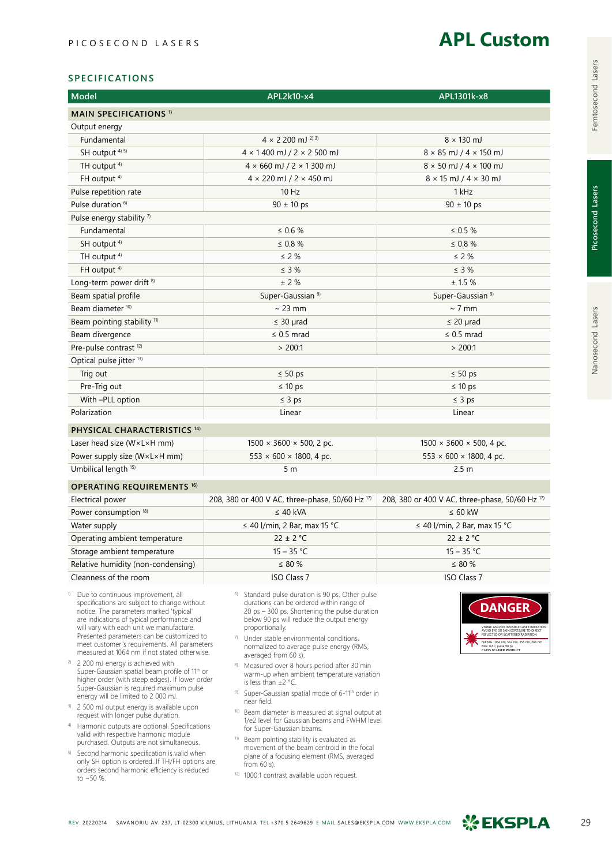## **APL Custom**

### **SPECIFICATIONS**

| Model                                                                                                                                                                                                                                                                                                                                                                      | APL2k10-x4                                                                                                                                                                                                                                                                                                                           | APL1301k-x8                                                                                                                                                                                                                       |  |  |
|----------------------------------------------------------------------------------------------------------------------------------------------------------------------------------------------------------------------------------------------------------------------------------------------------------------------------------------------------------------------------|--------------------------------------------------------------------------------------------------------------------------------------------------------------------------------------------------------------------------------------------------------------------------------------------------------------------------------------|-----------------------------------------------------------------------------------------------------------------------------------------------------------------------------------------------------------------------------------|--|--|
| <b>MAIN SPECIFICATIONS 1)</b>                                                                                                                                                                                                                                                                                                                                              |                                                                                                                                                                                                                                                                                                                                      |                                                                                                                                                                                                                                   |  |  |
| Output energy                                                                                                                                                                                                                                                                                                                                                              |                                                                                                                                                                                                                                                                                                                                      |                                                                                                                                                                                                                                   |  |  |
| Fundamental                                                                                                                                                                                                                                                                                                                                                                | $4 \times 2200$ mJ <sup>2) 3)</sup>                                                                                                                                                                                                                                                                                                  | $8 \times 130$ mJ                                                                                                                                                                                                                 |  |  |
| SH output <sup>4) 5)</sup>                                                                                                                                                                                                                                                                                                                                                 | $4 \times 1400$ mJ / 2 $\times$ 2500 mJ                                                                                                                                                                                                                                                                                              | $8 \times 85$ mJ / $4 \times 150$ mJ                                                                                                                                                                                              |  |  |
| TH output <sup>4)</sup>                                                                                                                                                                                                                                                                                                                                                    | $4 \times 660$ mJ / 2 $\times$ 1 300 mJ                                                                                                                                                                                                                                                                                              | $8 \times 50$ mJ / $4 \times 100$ mJ                                                                                                                                                                                              |  |  |
| FH output <sup>4)</sup>                                                                                                                                                                                                                                                                                                                                                    | $4 \times 220$ mJ / 2 $\times$ 450 mJ                                                                                                                                                                                                                                                                                                | $8 \times 15$ mJ / $4 \times 30$ mJ                                                                                                                                                                                               |  |  |
| Pulse repetition rate                                                                                                                                                                                                                                                                                                                                                      | 10 Hz                                                                                                                                                                                                                                                                                                                                | 1 kHz                                                                                                                                                                                                                             |  |  |
| Pulse duration <sup>6)</sup>                                                                                                                                                                                                                                                                                                                                               | $90 \pm 10$ ps                                                                                                                                                                                                                                                                                                                       | $90 \pm 10$ ps                                                                                                                                                                                                                    |  |  |
| Pulse energy stability $7$                                                                                                                                                                                                                                                                                                                                                 |                                                                                                                                                                                                                                                                                                                                      |                                                                                                                                                                                                                                   |  |  |
| Fundamental                                                                                                                                                                                                                                                                                                                                                                | $\leq 0.6 \%$                                                                                                                                                                                                                                                                                                                        | $\leq 0.5 \%$                                                                                                                                                                                                                     |  |  |
| SH output <sup>4)</sup>                                                                                                                                                                                                                                                                                                                                                    | $\leq$ 0.8 $\%$                                                                                                                                                                                                                                                                                                                      | $\leq 0.8 \%$                                                                                                                                                                                                                     |  |  |
| TH output <sup>4)</sup>                                                                                                                                                                                                                                                                                                                                                    | $\leq$ 2 %                                                                                                                                                                                                                                                                                                                           | $\leq$ 2 %                                                                                                                                                                                                                        |  |  |
| FH output <sup>4)</sup>                                                                                                                                                                                                                                                                                                                                                    | $\leq$ 3 %                                                                                                                                                                                                                                                                                                                           | $\leq$ 3 %                                                                                                                                                                                                                        |  |  |
| Long-term power drift <sup>8)</sup>                                                                                                                                                                                                                                                                                                                                        | $±$ 2 %                                                                                                                                                                                                                                                                                                                              | ± 1.5%                                                                                                                                                                                                                            |  |  |
| Beam spatial profile                                                                                                                                                                                                                                                                                                                                                       | Super-Gaussian <sup>9)</sup>                                                                                                                                                                                                                                                                                                         | Super-Gaussian <sup>9)</sup>                                                                                                                                                                                                      |  |  |
| Beam diameter <sup>10)</sup>                                                                                                                                                                                                                                                                                                                                               | $\sim$ 23 mm                                                                                                                                                                                                                                                                                                                         | $\sim$ 7 mm                                                                                                                                                                                                                       |  |  |
| Beam pointing stability <sup>11)</sup>                                                                                                                                                                                                                                                                                                                                     | $\leq 30$ µrad                                                                                                                                                                                                                                                                                                                       | $\leq 20$ µrad                                                                                                                                                                                                                    |  |  |
| Beam divergence                                                                                                                                                                                                                                                                                                                                                            | $\leq$ 0.5 mrad                                                                                                                                                                                                                                                                                                                      | $\leq$ 0.5 mrad                                                                                                                                                                                                                   |  |  |
| Pre-pulse contrast <sup>12)</sup>                                                                                                                                                                                                                                                                                                                                          | > 200:1                                                                                                                                                                                                                                                                                                                              | > 200:1                                                                                                                                                                                                                           |  |  |
| Optical pulse jitter <sup>13)</sup>                                                                                                                                                                                                                                                                                                                                        |                                                                                                                                                                                                                                                                                                                                      |                                                                                                                                                                                                                                   |  |  |
| Trig out                                                                                                                                                                                                                                                                                                                                                                   | $\leq 50$ ps                                                                                                                                                                                                                                                                                                                         | $\leq 50$ ps                                                                                                                                                                                                                      |  |  |
| Pre-Trig out                                                                                                                                                                                                                                                                                                                                                               | $\leq 10$ ps                                                                                                                                                                                                                                                                                                                         | $\leq 10$ ps                                                                                                                                                                                                                      |  |  |
| With -PLL option                                                                                                                                                                                                                                                                                                                                                           | $\leq 3$ ps                                                                                                                                                                                                                                                                                                                          | $\leq$ 3 ps                                                                                                                                                                                                                       |  |  |
| Polarization                                                                                                                                                                                                                                                                                                                                                               | Linear                                                                                                                                                                                                                                                                                                                               | Linear                                                                                                                                                                                                                            |  |  |
|                                                                                                                                                                                                                                                                                                                                                                            |                                                                                                                                                                                                                                                                                                                                      |                                                                                                                                                                                                                                   |  |  |
| PHYSICAL CHARACTERISTICS 14)                                                                                                                                                                                                                                                                                                                                               |                                                                                                                                                                                                                                                                                                                                      |                                                                                                                                                                                                                                   |  |  |
| Laser head size (W×L×H mm)                                                                                                                                                                                                                                                                                                                                                 | $1500 \times 3600 \times 500$ , 2 pc.                                                                                                                                                                                                                                                                                                | $1500 \times 3600 \times 500$ , 4 pc.                                                                                                                                                                                             |  |  |
| Power supply size (W×L×H mm)                                                                                                                                                                                                                                                                                                                                               | $553 \times 600 \times 1800$ , 4 pc.                                                                                                                                                                                                                                                                                                 | $553 \times 600 \times 1800$ , 4 pc.                                                                                                                                                                                              |  |  |
| Umbilical length <sup>15)</sup>                                                                                                                                                                                                                                                                                                                                            | 5 m                                                                                                                                                                                                                                                                                                                                  | 2.5 <sub>m</sub>                                                                                                                                                                                                                  |  |  |
| <b>OPERATING REQUIREMENTS 16)</b>                                                                                                                                                                                                                                                                                                                                          |                                                                                                                                                                                                                                                                                                                                      |                                                                                                                                                                                                                                   |  |  |
| Electrical power                                                                                                                                                                                                                                                                                                                                                           | 208, 380 or 400 V AC, three-phase, 50/60 Hz 17)                                                                                                                                                                                                                                                                                      | 208, 380 or 400 V AC, three-phase, 50/60 Hz 17)                                                                                                                                                                                   |  |  |
| Power consumption <sup>18)</sup>                                                                                                                                                                                                                                                                                                                                           | $\leq 40$ kVA                                                                                                                                                                                                                                                                                                                        | $\leq 60$ kW                                                                                                                                                                                                                      |  |  |
| Water supply                                                                                                                                                                                                                                                                                                                                                               | $\leq$ 40 l/min, 2 Bar, max 15 °C                                                                                                                                                                                                                                                                                                    | $\leq$ 40 l/min, 2 Bar, max 15 °C                                                                                                                                                                                                 |  |  |
| Operating ambient temperature                                                                                                                                                                                                                                                                                                                                              | $22 \pm 2$ °C                                                                                                                                                                                                                                                                                                                        | $22 \pm 2$ °C                                                                                                                                                                                                                     |  |  |
| Storage ambient temperature                                                                                                                                                                                                                                                                                                                                                | $15 - 35 °C$                                                                                                                                                                                                                                                                                                                         | $15 - 35 °C$                                                                                                                                                                                                                      |  |  |
| Relative humidity (non-condensing)                                                                                                                                                                                                                                                                                                                                         | $\leq 80\%$                                                                                                                                                                                                                                                                                                                          | $\leq 80\%$                                                                                                                                                                                                                       |  |  |
| Cleanness of the room                                                                                                                                                                                                                                                                                                                                                      | <b>ISO Class 7</b>                                                                                                                                                                                                                                                                                                                   | <b>ISO Class 7</b>                                                                                                                                                                                                                |  |  |
| Due to continuous improvement, all<br>1)<br>specifications are subject to change without<br>notice. The parameters marked 'typical'<br>are indications of typical performance and<br>will vary with each unit we manufacture.<br>Presented parameters can be customized to<br>meet customer's requirements. All parameters<br>measured at 1064 nm if not stated otherwise. | 6)<br>Standard pulse duration is 90 ps. Other pulse<br>durations can be ordered within range of<br>20 ps - 300 ps. Shortening the pulse duration<br>below 90 ps will reduce the output energy<br>proportionally.<br>7)<br>Under stable environmental conditions,<br>normalized to average pulse energy (RMS,<br>averaged from 60 s). | <b>DANGER</b><br>VISIBLE AND/OR INVISIBLE LASER RADIATION<br>AVOID EYE OR SKIN EXPOSURE TO DIRECT REFLECTED OR SCATTERED RADIATION<br>Nd:YAG 1064 nm, 532 nm, 355 nm, 266 nm<br>Max. 8.8 J, pulse 90 ps<br>CLASS IV LASER PRODUCT |  |  |
| <sup>2)</sup> 2 200 mJ energy is achieved with<br>Super-Gaussian spatial beam profile of 11 <sup>th</sup> or<br>higher order (with steep edges). If lower order<br>Super-Gaussian is required maximum pulse<br>energy will be limited to 2 000 mJ.                                                                                                                         | 8)<br>Measured over 8 hours period after 30 min<br>warm-up when ambient temperature variation<br>is less than $\pm 2$ °C.<br>9)<br>Super-Gaussian spatial mode of 6-11 <sup>th</sup> order in<br>near field.                                                                                                                         |                                                                                                                                                                                                                                   |  |  |
| <sup>3)</sup> 2 500 mJ output energy is available upon<br>request with longer pulse duration.                                                                                                                                                                                                                                                                              | 10)<br>Beam diameter is measured at signal output at<br>1/e2 level for Gaussian beams and FWHM level                                                                                                                                                                                                                                 |                                                                                                                                                                                                                                   |  |  |
| <sup>4)</sup> Harmonic outputs are optional. Specifications<br>valid with respective harmonic module<br>purchased. Outputs are not simultaneous.                                                                                                                                                                                                                           | for Super-Gaussian beams.<br>11)<br>Beam pointing stability is evaluated as                                                                                                                                                                                                                                                          |                                                                                                                                                                                                                                   |  |  |
| 5)<br>Second harmonic specification is valid when<br>only SH option is ordered. If TH/FH options are                                                                                                                                                                                                                                                                       | movement of the beam centroid in the focal<br>plane of a focusing element (RMS, averaged<br>from $60$ s).                                                                                                                                                                                                                            |                                                                                                                                                                                                                                   |  |  |

- 12) 1000:1 contrast available upon request.
- REV. 20220214 SAVANORIU AV. 237, LT-02300 VILNIUS, LITHUANIA TEL +370 5 2649629 E-MAIL SALES@EKSPLA.COM WWW.EKSPLA.COM **2007 EKSPLA** 29

orders second harmonic efficiency is reduced

to ~50 %.

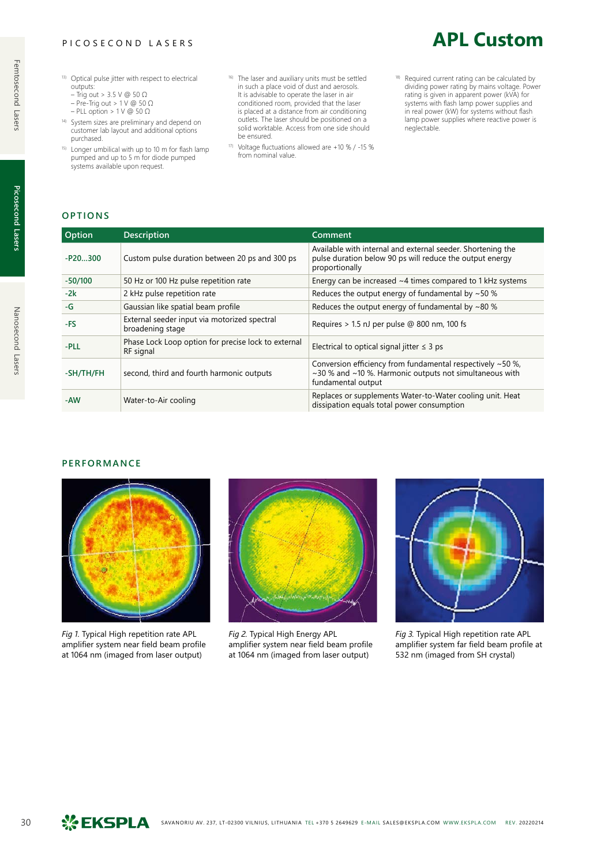- - 13) Optical pulse jitter with respect to electrical outputs:
		- Trig out > 3.5 V @ 50 Ω
		- Pre-Trig out > 1 V @ 50 Ω – PLL option > 1 V @ 50 Ω
	- 14) System sizes are preliminary and depend on customer lab layout and additional options purchased.
	- 15) Longer umbilical with up to 10 m for flash lamp pumped and up to 5 m for diode pumped systems available upon request.
- 16) The laser and auxiliary units must be settled in such a place void of dust and aerosols. It is advisable to operate the laser in air conditioned room, provided that the laser is placed at a distance from air conditioning outlets. The laser should be positioned on a solid worktable. Access from one side should be ensured.
- 17) Voltage fluctuations allowed are +10 % / -15 % from nominal value.
- <sup>18)</sup> Required current rating can be calculated by dividing power rating by mains voltage. Power rating is given in apparent power (kVA) for systems with flash lamp power supplies and in real power (kW) for systems without flash lamp power supplies where reactive power is neglectable.

**APL Custom**

## **OPTIONS**

| Option    | <b>Description</b>                                               | Comment                                                                                                                                     |
|-----------|------------------------------------------------------------------|---------------------------------------------------------------------------------------------------------------------------------------------|
| $-P20300$ | Custom pulse duration between 20 ps and 300 ps                   | Available with internal and external seeder. Shortening the<br>pulse duration below 90 ps will reduce the output energy<br>proportionally   |
| $-50/100$ | 50 Hz or 100 Hz pulse repetition rate                            | Energy can be increased $~4$ times compared to 1 kHz systems                                                                                |
| $-2k$     | 2 kHz pulse repetition rate                                      | Reduces the output energy of fundamental by $~50$ %                                                                                         |
| -G        | Gaussian like spatial beam profile                               | Reduces the output energy of fundamental by $~\sim$ 80 %                                                                                    |
| -FS       | External seeder input via motorized spectral<br>broadening stage | Requires $> 1.5$ nJ per pulse @ 800 nm, 100 fs                                                                                              |
| -PLL      | Phase Lock Loop option for precise lock to external<br>RF signal | Electrical to optical signal jitter $\leq$ 3 ps                                                                                             |
| -SH/TH/FH | second, third and fourth harmonic outputs                        | Conversion efficiency from fundamental respectively ~50 %,<br>~30 % and ~10 %. Harmonic outputs not simultaneous with<br>fundamental output |
| -AW       | Water-to-Air cooling                                             | Replaces or supplements Water-to-Water cooling unit. Heat<br>dissipation equals total power consumption                                     |

## **PERFORMANCE**



*Fig 1.* Typical High repetition rate APL amplifier system near field beam profile at 1064 nm (imaged from laser output)



*Fig 2.* Typical High Energy APL amplifier system near field beam profile at 1064 nm (imaged from laser output)



*Fig 3.* Typical High repetition rate APL amplifier system far field beam profile at 532 nm (imaged from SH crystal)